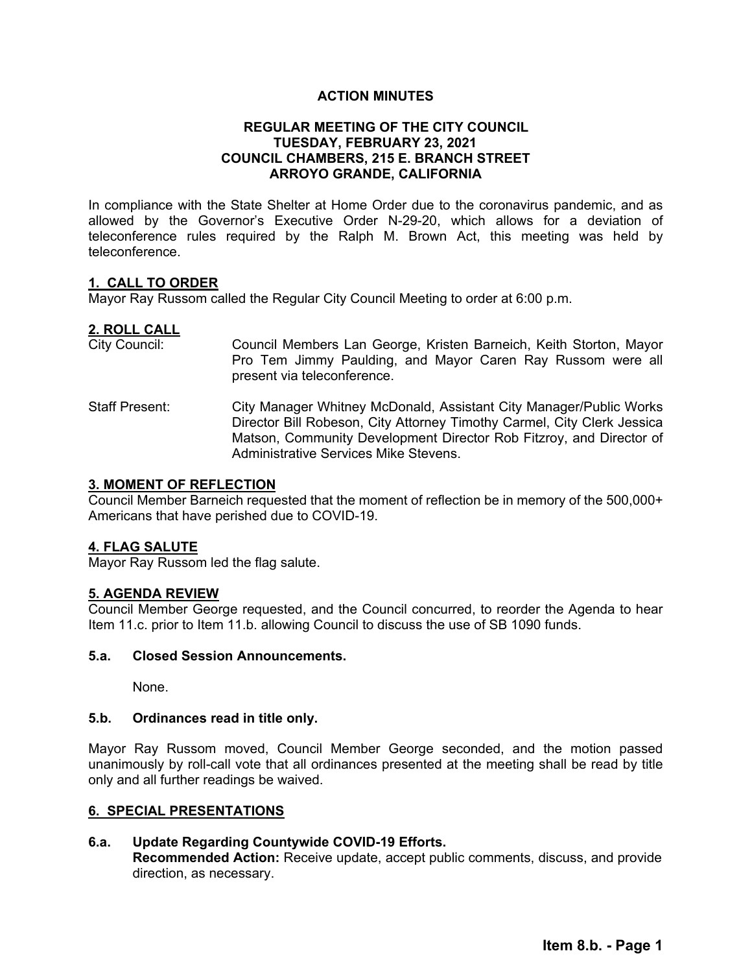## **ACTION MINUTES**

## **REGULAR MEETING OF THE CITY COUNCIL TUESDAY, FEBRUARY 23, 2021 COUNCIL CHAMBERS, 215 E. BRANCH STREET ARROYO GRANDE, CALIFORNIA**

In compliance with the State Shelter at Home Order due to the coronavirus pandemic, and as allowed by the Governor's Executive Order N-29-20, which allows for a deviation of teleconference rules required by the Ralph M. Brown Act, this meeting was held by teleconference.

### **1. CALL TO ORDER**

Mayor Ray Russom called the Regular City Council Meeting to order at 6:00 p.m.

## **2. ROLL CALL**

- City Council: Council Members Lan George, Kristen Barneich, Keith Storton, Mayor Pro Tem Jimmy Paulding, and Mayor Caren Ray Russom were all present via teleconference.
- Staff Present: City Manager Whitney McDonald, Assistant City Manager/Public Works Director Bill Robeson, City Attorney Timothy Carmel, City Clerk Jessica Matson, Community Development Director Rob Fitzroy, and Director of Administrative Services Mike Stevens.

### **3. MOMENT OF REFLECTION**

Council Member Barneich requested that the moment of reflection be in memory of the 500,000+ Americans that have perished due to COVID-19.

### **4. FLAG SALUTE**

Mayor Ray Russom led the flag salute.

## **5. AGENDA REVIEW**

Council Member George requested, and the Council concurred, to reorder the Agenda to hear Item 11.c. prior to Item 11.b. allowing Council to discuss the use of SB 1090 funds.

### **5.a. Closed Session Announcements.**

None.

### **5.b. Ordinances read in title only.**

Mayor Ray Russom moved, Council Member George seconded, and the motion passed unanimously by roll-call vote that all ordinances presented at the meeting shall be read by title only and all further readings be waived.

### **6. SPECIAL PRESENTATIONS**

### **6.a. Update Regarding Countywide COVID-19 Efforts.**

**Recommended Action:** Receive update, accept public comments, discuss, and provide direction, as necessary.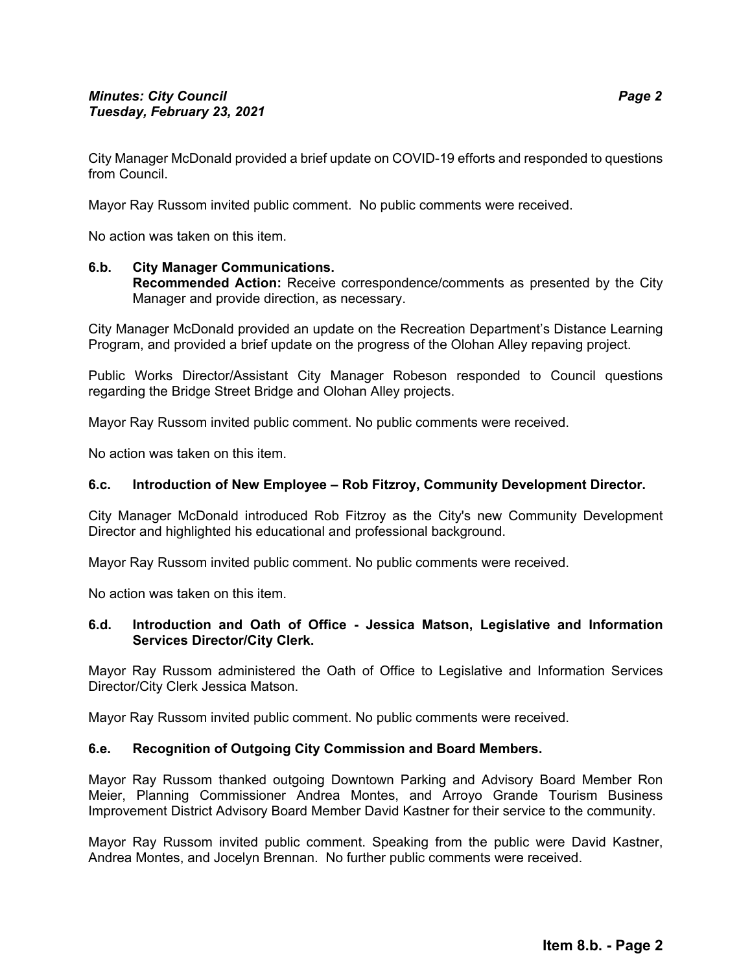City Manager McDonald provided a brief update on COVID-19 efforts and responded to questions from Council.

Mayor Ray Russom invited public comment. No public comments were received.

No action was taken on this item.

# **6.b. City Manager Communications.**

**Recommended Action:** Receive correspondence/comments as presented by the City Manager and provide direction, as necessary.

City Manager McDonald provided an update on the Recreation Department's Distance Learning Program, and provided a brief update on the progress of the Olohan Alley repaving project.

Public Works Director/Assistant City Manager Robeson responded to Council questions regarding the Bridge Street Bridge and Olohan Alley projects.

Mayor Ray Russom invited public comment. No public comments were received.

No action was taken on this item.

## **6.c. Introduction of New Employee – Rob Fitzroy, Community Development Director.**

City Manager McDonald introduced Rob Fitzroy as the City's new Community Development Director and highlighted his educational and professional background.

Mayor Ray Russom invited public comment. No public comments were received.

No action was taken on this item.

## **6.d. Introduction and Oath of Office - Jessica Matson, Legislative and Information Services Director/City Clerk.**

Mayor Ray Russom administered the Oath of Office to Legislative and Information Services Director/City Clerk Jessica Matson.

Mayor Ray Russom invited public comment. No public comments were received.

### **6.e. Recognition of Outgoing City Commission and Board Members.**

Mayor Ray Russom thanked outgoing Downtown Parking and Advisory Board Member Ron Meier, Planning Commissioner Andrea Montes, and Arroyo Grande Tourism Business Improvement District Advisory Board Member David Kastner for their service to the community.

Mayor Ray Russom invited public comment. Speaking from the public were David Kastner, Andrea Montes, and Jocelyn Brennan. No further public comments were received.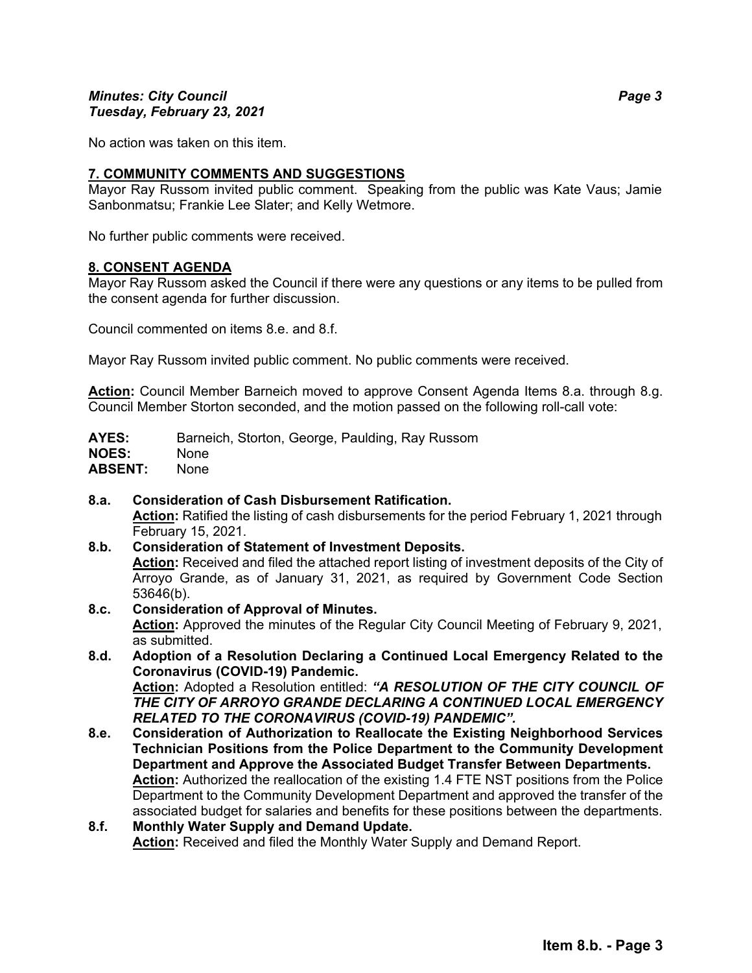## *Minutes: City Council Page 3 Tuesday, February 23, 2021*

No action was taken on this item.

## **7. COMMUNITY COMMENTS AND SUGGESTIONS**

Mayor Ray Russom invited public comment. Speaking from the public was Kate Vaus; Jamie Sanbonmatsu; Frankie Lee Slater; and Kelly Wetmore.

No further public comments were received.

## **8. CONSENT AGENDA**

Mayor Ray Russom asked the Council if there were any questions or any items to be pulled from the consent agenda for further discussion.

Council commented on items 8.e. and 8.f.

Mayor Ray Russom invited public comment. No public comments were received.

**Action:** Council Member Barneich moved to approve Consent Agenda Items 8.a. through 8.g. Council Member Storton seconded, and the motion passed on the following roll-call vote:

| <b>AYES:</b>   | Barneich, Storton, George, Paulding, Ray Russom |
|----------------|-------------------------------------------------|
| <b>NOES:</b>   | None.                                           |
| <b>ABSENT:</b> | <b>None</b>                                     |

**8.a. Consideration of Cash Disbursement Ratification. Action:** Ratified the listing of cash disbursements for the period February 1, 2021 through February 15, 2021.

## **8.b. Consideration of Statement of Investment Deposits. Action:** Received and filed the attached report listing of investment deposits of the City of Arroyo Grande, as of January 31, 2021, as required by Government Code Section 53646(b).

**8.c. Consideration of Approval of Minutes.**

**Action:** Approved the minutes of the Regular City Council Meeting of February 9, 2021, as submitted.

- **8.d. Adoption of a Resolution Declaring a Continued Local Emergency Related to the Coronavirus (COVID-19) Pandemic. Action:** Adopted a Resolution entitled: *"A RESOLUTION OF THE CITY COUNCIL OF THE CITY OF ARROYO GRANDE DECLARING A CONTINUED LOCAL EMERGENCY RELATED TO THE CORONAVIRUS (COVID-19) PANDEMIC".*
- **8.e. Consideration of Authorization to Reallocate the Existing Neighborhood Services Technician Positions from the Police Department to the Community Development Department and Approve the Associated Budget Transfer Between Departments. Action:** Authorized the reallocation of the existing 1.4 FTE NST positions from the Police Department to the Community Development Department and approved the transfer of the associated budget for salaries and benefits for these positions between the departments.
- **8.f. Monthly Water Supply and Demand Update.** Action: Received and filed the Monthly Water Supply and Demand Report.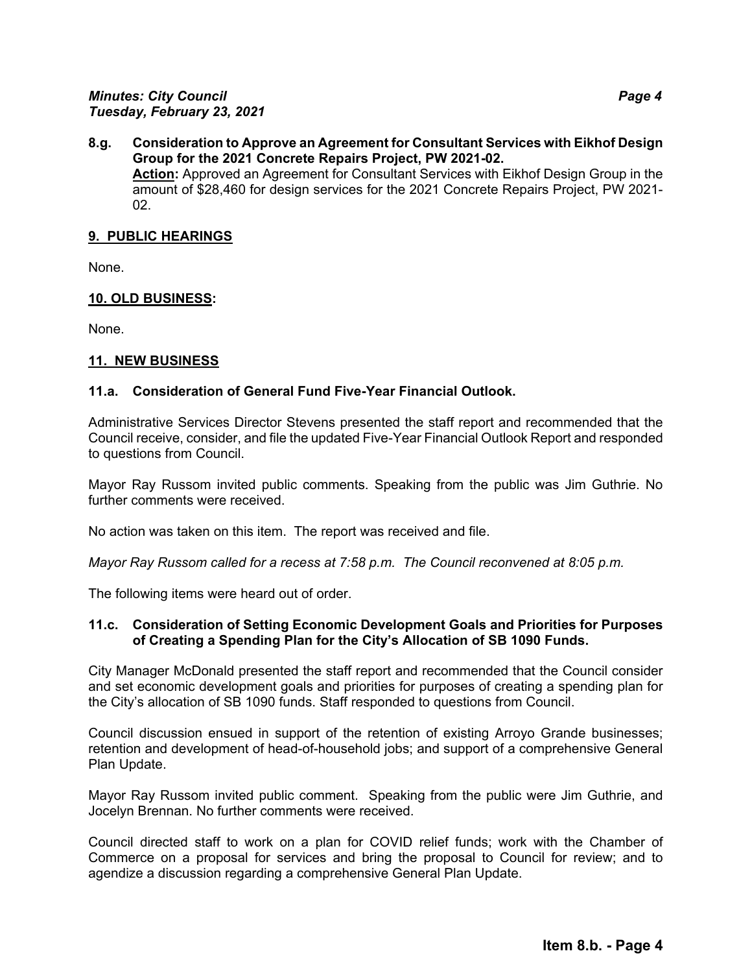## **8.g. Consideration to Approve an Agreement for Consultant Services with Eikhof Design Group for the 2021 Concrete Repairs Project, PW 2021-02.**  Action: Approved an Agreement for Consultant Services with Eikhof Design Group in the amount of \$28,460 for design services for the 2021 Concrete Repairs Project, PW 2021- 02.

### **9. PUBLIC HEARINGS**

None.

## **10. OLD BUSINESS:**

None.

## **11. NEW BUSINESS**

## **11.a. Consideration of General Fund Five-Year Financial Outlook.**

Administrative Services Director Stevens presented the staff report and recommended that the Council receive, consider, and file the updated Five-Year Financial Outlook Report and responded to questions from Council.

Mayor Ray Russom invited public comments. Speaking from the public was Jim Guthrie. No further comments were received.

No action was taken on this item. The report was received and file.

*Mayor Ray Russom called for a recess at 7:58 p.m. The Council reconvened at 8:05 p.m.* 

The following items were heard out of order.

### **11.c. Consideration of Setting Economic Development Goals and Priorities for Purposes of Creating a Spending Plan for the City's Allocation of SB 1090 Funds.**

City Manager McDonald presented the staff report and recommended that the Council consider and set economic development goals and priorities for purposes of creating a spending plan for the City's allocation of SB 1090 funds. Staff responded to questions from Council.

Council discussion ensued in support of the retention of existing Arroyo Grande businesses; retention and development of head-of-household jobs; and support of a comprehensive General Plan Update.

Mayor Ray Russom invited public comment. Speaking from the public were Jim Guthrie, and Jocelyn Brennan. No further comments were received.

Council directed staff to work on a plan for COVID relief funds; work with the Chamber of Commerce on a proposal for services and bring the proposal to Council for review; and to agendize a discussion regarding a comprehensive General Plan Update.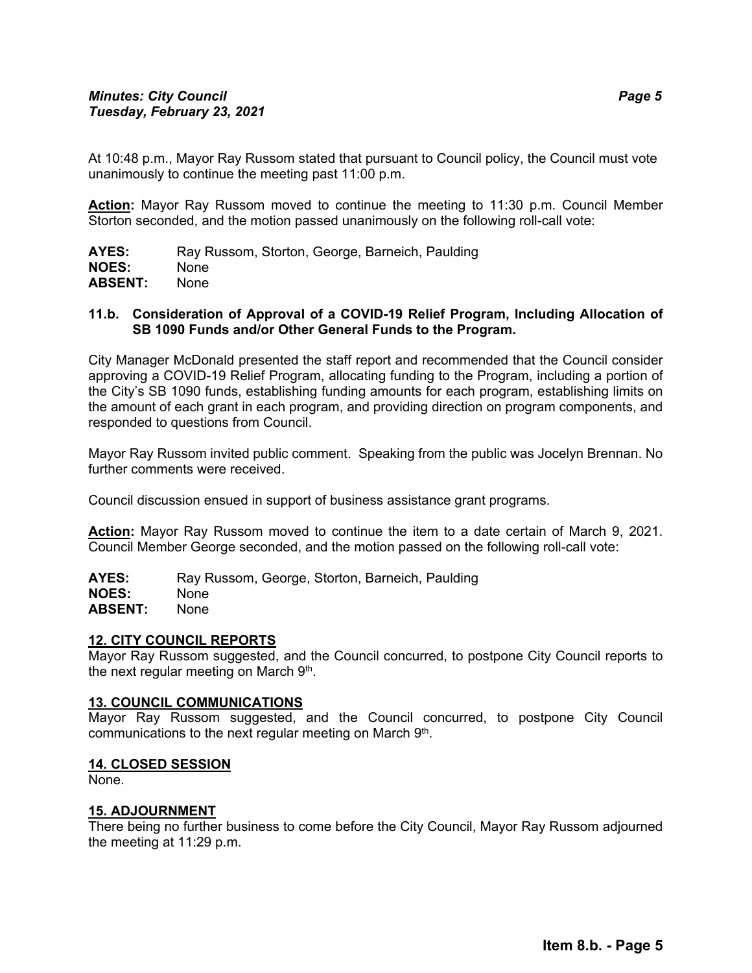At 10:48 p.m., Mayor Ray Russom stated that pursuant to Council policy, the Council must vote unanimously to continue the meeting past 11:00 p.m.

**Action:** Mayor Ray Russom moved to continue the meeting to 11:30 p.m. Council Member Storton seconded, and the motion passed unanimously on the following roll-call vote:

AYES: Ray Russom, Storton, George, Barneich, Paulding **NOES:** None **ABSENT:** None

### **11.b. Consideration of Approval of a COVID-19 Relief Program, Including Allocation of SB 1090 Funds and/or Other General Funds to the Program.**

City Manager McDonald presented the staff report and recommended that the Council consider approving a COVID-19 Relief Program, allocating funding to the Program, including a portion of the City's SB 1090 funds, establishing funding amounts for each program, establishing limits on the amount of each grant in each program, and providing direction on program components, and responded to questions from Council.

Mayor Ray Russom invited public comment. Speaking from the public was Jocelyn Brennan. No further comments were received

Council discussion ensued in support of business assistance grant programs.

**Action:** Mayor Ray Russom moved to continue the item to a date certain of March 9, 2021. Council Member George seconded, and the motion passed on the following roll-call vote:

AYES: Ray Russom, George, Storton, Barneich, Paulding **NOES:** None **ABSENT:** None

### **12. CITY COUNCIL REPORTS**

Mayor Ray Russom suggested, and the Council concurred, to postpone City Council reports to the next regular meeting on March  $9<sup>th</sup>$ .

### **13. COUNCIL COMMUNICATIONS**

Mayor Ray Russom suggested, and the Council concurred, to postpone City Council communications to the next regular meeting on March  $9<sup>th</sup>$ .

#### **14. CLOSED SESSION**

None.

### **15. ADJOURNMENT**

There being no further business to come before the City Council, Mayor Ray Russom adjourned the meeting at 11:29 p.m.